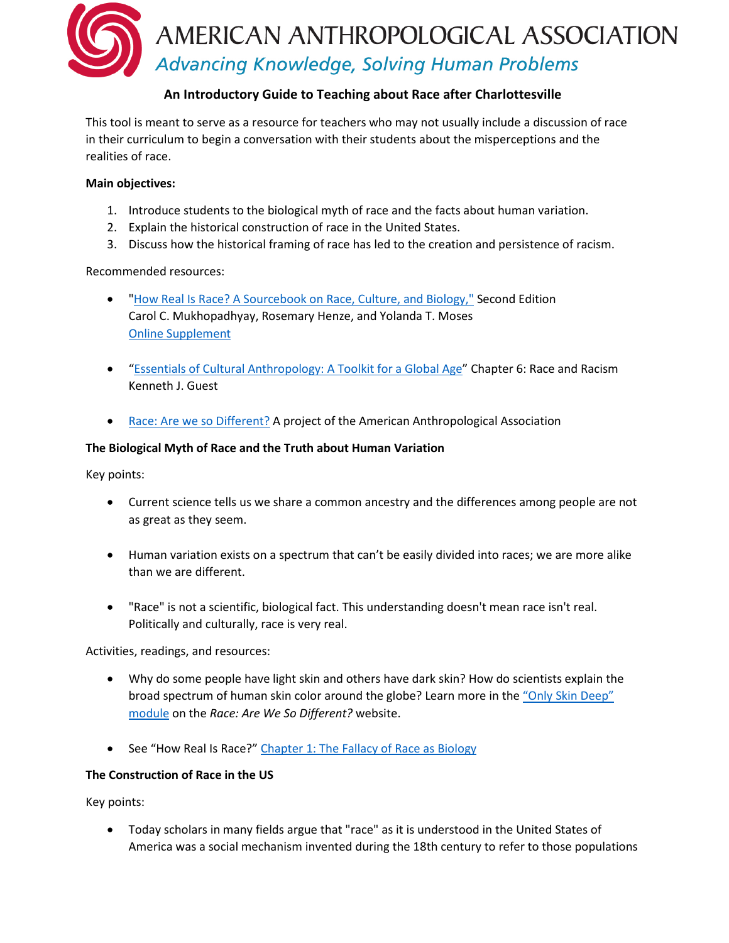

# **An Introductory Guide to Teaching about Race after Charlottesville**

This tool is meant to serve as a resource for teachers who may not usually include a discussion of race in their curriculum to begin a conversation with their students about the misperceptions and the realities of race.

# **Main objectives:**

- 1. Introduce students to the biological myth of race and the facts about human variation.
- 2. Explain the historical construction of race in the United States.
- 3. Discuss how the historical framing of race has led to the creation and persistence of racism.

# Recommended resources:

- ["How Real Is Race? A Sourcebook on Race, Culture, and Biology,"](https://rowman.com/ISBN/978-0-7591-2273-4) Second Edition Carol C. Mukhopadhyay, Rosemary Henze, and Yolanda T. Moses [Online Supplement](https://sites.google.com/a/sjsu.edu/how-real-is-race-sourcebook/)
- ["Essentials of Cultural Anthropology: A Toolkit for a Global Age"](http://books.wwnorton.com/books/webad.aspx?id=4294990298) Chapter 6: Race and Racism Kenneth J. Guest
- [Race: Are we so Different?](http://understandingrace.org/home.html) A project of the American Anthropological Association

### **The Biological Myth of Race and the Truth about Human Variation**

Key points:

- Current science tells us we share a common ancestry and the differences among people are not as great as they seem.
- Human variation exists on a spectrum that can't be easily divided into races; we are more alike than we are different.
- "Race" is not a scientific, biological fact. This understanding doesn't mean race isn't real. Politically and culturally, race is very real.

Activities, readings, and resources:

- Why do some people have light skin and others have dark skin? How do scientists explain the broad spectrum of human skin color around the globe? Learn more in the ["Only Skin Deep"](http://understandingrace.org/humvar/skin_01.html) [module](http://understandingrace.org/humvar/skin_01.html) on the *Race: Are We So Different?* website.
- See "How Real Is Race?" [Chapter 1: The Fallacy of Race as Biology](https://sites.google.com/a/sjsu.edu/how-real-is-race-sourcebook/1-fallacy-of-rase-as-biology)

# **The Construction of Race in the US**

Key points:

• Today scholars in many fields argue that "race" as it is understood in the United States of America was a social mechanism invented during the 18th century to refer to those populations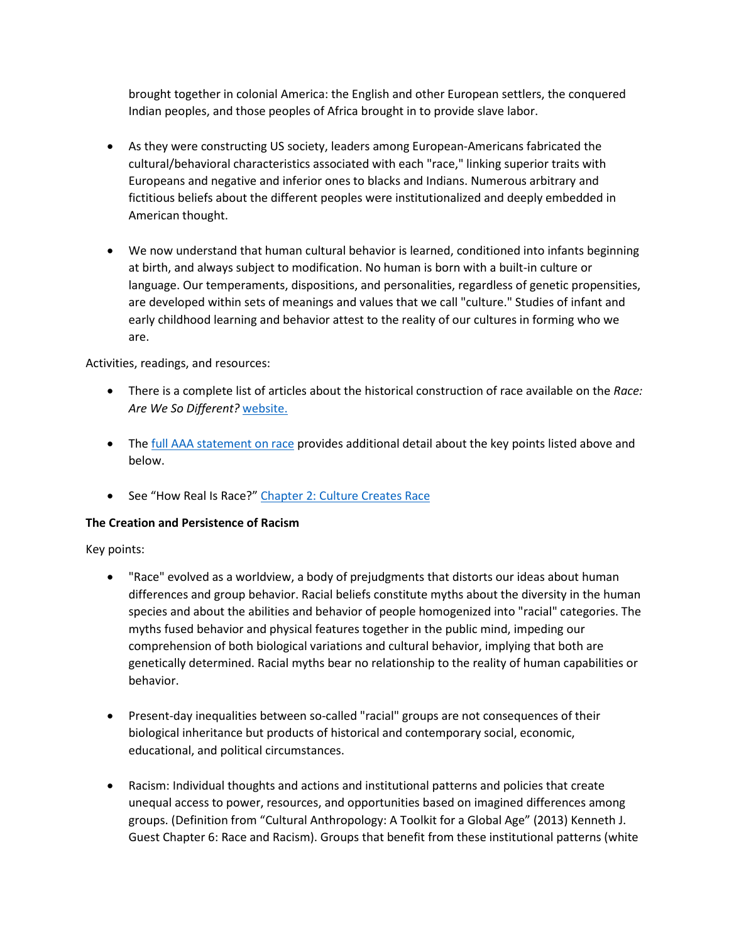brought together in colonial America: the English and other European settlers, the conquered Indian peoples, and those peoples of Africa brought in to provide slave labor.

- As they were constructing US society, leaders among European-Americans fabricated the cultural/behavioral characteristics associated with each "race," linking superior traits with Europeans and negative and inferior ones to blacks and Indians. Numerous arbitrary and fictitious beliefs about the different peoples were institutionalized and deeply embedded in American thought.
- We now understand that human cultural behavior is learned, conditioned into infants beginning at birth, and always subject to modification. No human is born with a built-in culture or language. Our temperaments, dispositions, and personalities, regardless of genetic propensities, are developed within sets of meanings and values that we call "culture." Studies of infant and early childhood learning and behavior attest to the reality of our cultures in forming who we are.

Activities, readings, and resources:

- There is a complete list of articles about the historical construction of race available on the *Race: Are We So Different?* [website.](http://understandingrace.org/history/text_timeline.html)
- The [full AAA statement on race](http://www.americananthro.org/ConnectWithAAA/Content.aspx?ItemNumber=2583) provides additional detail about the key points listed above and below.
- See "How Real Is Race?" [Chapter 2: Culture Creates Race](https://sites.google.com/a/sjsu.edu/how-real-is-race-sourcebook/part-2-culture-creates-race)

# **The Creation and Persistence of Racism**

Key points:

- "Race" evolved as a worldview, a body of prejudgments that distorts our ideas about human differences and group behavior. Racial beliefs constitute myths about the diversity in the human species and about the abilities and behavior of people homogenized into "racial" categories. The myths fused behavior and physical features together in the public mind, impeding our comprehension of both biological variations and cultural behavior, implying that both are genetically determined. Racial myths bear no relationship to the reality of human capabilities or behavior.
- Present-day inequalities between so-called "racial" groups are not consequences of their biological inheritance but products of historical and contemporary social, economic, educational, and political circumstances.
- Racism: Individual thoughts and actions and institutional patterns and policies that create unequal access to power, resources, and opportunities based on imagined differences among groups. (Definition from "Cultural Anthropology: A Toolkit for a Global Age" (2013) Kenneth J. Guest Chapter 6: Race and Racism). Groups that benefit from these institutional patterns (white